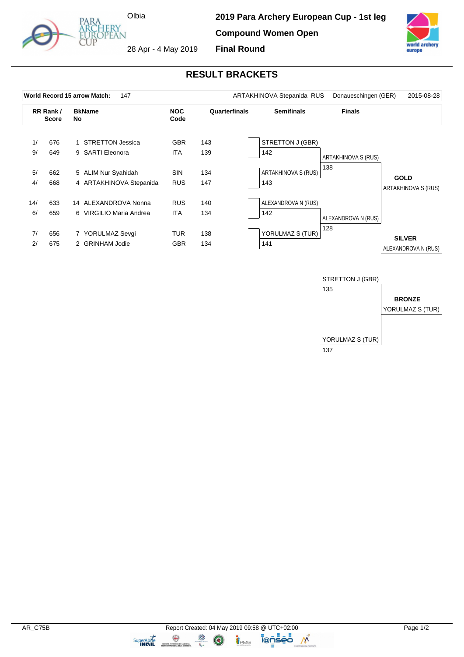

**2019 Para Archery European Cup - 1st leg Compound Women Open Final Round**



28 Apr - 4 May 2019

## **RESULT BRACKETS**

|           |                          | World Record 15 arrow Match:<br>147                     |                          |               | ARTAKHINOVA Stepanida RUS  | Donaueschingen (GER)       | 2015-08-28                           |
|-----------|--------------------------|---------------------------------------------------------|--------------------------|---------------|----------------------------|----------------------------|--------------------------------------|
|           | RR Rank/<br><b>Score</b> | <b>BkName</b><br>No                                     | <b>NOC</b><br>Code       | Quarterfinals | <b>Semifinals</b>          | <b>Finals</b>              |                                      |
| 1/<br>9/  | 676<br>649               | <b>STRETTON Jessica</b><br><b>SARTI Eleonora</b><br>9   | <b>GBR</b><br><b>ITA</b> | 143<br>139    | STRETTON J (GBR)<br>142    | <b>ARTAKHINOVA S (RUS)</b> |                                      |
| 5/<br>4/  | 662<br>668               | 5 ALIM Nur Syahidah<br>4 ARTAKHINOVA Stepanida          | <b>SIN</b><br><b>RUS</b> | 134<br>147    | ARTAKHINOVA S (RUS)<br>143 | 138                        | <b>GOLD</b><br>ARTAKHINOVA S (RUS)   |
| 14/<br>6/ | 633<br>659               | 14 ALEXANDROVA Nonna<br>6 VIRGILIO Maria Andrea         | <b>RUS</b><br><b>ITA</b> | 140<br>134    | ALEXANDROVA N (RUS)<br>142 | ALEXANDROVA N (RUS)        |                                      |
| 7/<br>2/  | 656<br>675               | YORULMAZ Sevgi<br><b>GRINHAM Jodie</b><br>$\mathcal{P}$ | <b>TUR</b><br><b>GBR</b> | 138<br>134    | YORULMAZ S (TUR)<br>141    | 128                        | <b>SILVER</b><br>ALEXANDROVA N (RUS) |